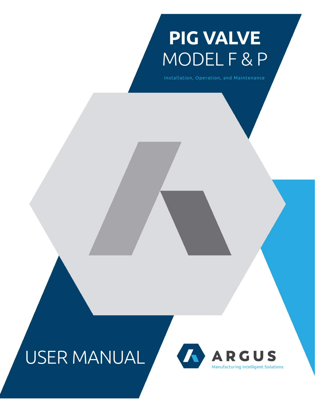# **PIG VALVE** MODEL F & P

Installation, Operation, and Maintenance

## USER MANUAL

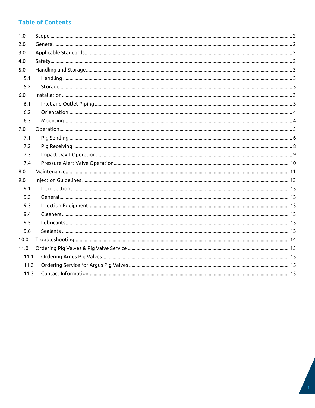### **Table of Contents**

| 1.0  |  |  |  |
|------|--|--|--|
| 2.0  |  |  |  |
| 3.0  |  |  |  |
| 4.0  |  |  |  |
| 5.0  |  |  |  |
| 5.1  |  |  |  |
| 5.2  |  |  |  |
| 6.0  |  |  |  |
| 6.1  |  |  |  |
| 6.2  |  |  |  |
| 6.3  |  |  |  |
| 7.0  |  |  |  |
| 7.1  |  |  |  |
| 7.2  |  |  |  |
| 7.3  |  |  |  |
| 7.4  |  |  |  |
| 8.0  |  |  |  |
| 9.0  |  |  |  |
| 9.1  |  |  |  |
| 9.2  |  |  |  |
| 9.3  |  |  |  |
| 9.4  |  |  |  |
| 9.5  |  |  |  |
| 9.6  |  |  |  |
| 10.0 |  |  |  |
| 11.0 |  |  |  |
| 11.1 |  |  |  |
| 11.2 |  |  |  |
| 11.3 |  |  |  |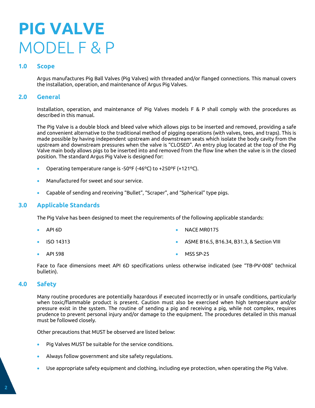## **PIG VALVE** MODEL F & P

#### <span id="page-2-0"></span>**1.0 Scope**

Argus manufactures Pig Ball Valves (Pig Valves) with threaded and/or flanged connections. This manual covers the installation, operation, and maintenance of Argus Pig Valves.

#### <span id="page-2-1"></span>**2.0 General**

Installation, operation, and maintenance of Pig Valves models F & P shall comply with the procedures as described in this manual.

The Pig Valve is a double block and bleed valve which allows pigs to be inserted and removed, providing a safe and convenient alternative to the traditional method of pigging operations (with valves, tees, and traps). This is made possible by having independent upstream and downstream seats which isolate the body cavity from the upstream and downstream pressures when the valve is "CLOSED". An entry plug located at the top of the Pig Valve main body allows pigs to be inserted into and removed from the flow line when the valve is in the closed position. The standard Argus Pig Valve is designed for:

- Operating temperature range is -50ºF (-46ºC) to +250ºF (+121ºC).
- Manufactured for sweet and sour service.
- Capable of sending and receiving "Bullet", "Scraper", and "Spherical" type pigs.

#### <span id="page-2-2"></span>**3.0 Applicable Standards**

The Pig Valve has been designed to meet the requirements of the following applicable standards:

- API 6D
- ISO 14313
- NACE MR0175
- ASME B16.5, B16.34, B31.3, & Section VIII
- API 598 MSS SP-25

Face to face dimensions meet API 6D specifications unless otherwise indicated (see "TB-PV-008" technical bulletin).

#### <span id="page-2-3"></span>**4.0 Safety**

Many routine procedures are potentially hazardous if executed incorrectly or in unsafe conditions, particularly when toxic/flammable product is present. Caution must also be exercised when high temperature and/or pressure exist in the system. The routine of sending a pig and receiving a pig, while not complex, requires prudence to prevent personal injury and/or damage to the equipment. The procedures detailed in this manual must be followed closely.

Other precautions that MUST be observed are listed below:

- Pig Valves MUST be suitable for the service conditions.
- Always follow government and site safety regulations.
- Use appropriate safety equipment and clothing, including eye protection, when operating the Pig Valve.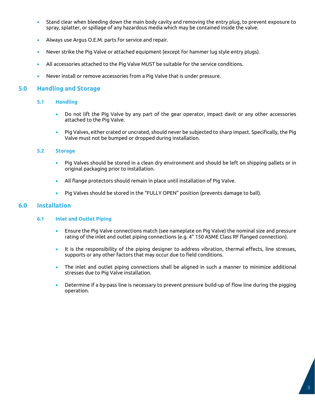- Stand clear when bleeding down the main body cavity and removing the entry plug, to prevent exposure to spray, splatter, or spillage of any hazardous media which may be contained inside the valve.
- Always use Argus O.E.M. parts for service and repair.
- Never strike the Pig Valve or attached equipment (except for hammer lug style entry plugs).
- All accessories attached to the Pig Valve MUST be suitable for the service conditions.
- Never install or remove accessories from a Pig Valve that is under pressure.

#### <span id="page-3-1"></span><span id="page-3-0"></span>**5.0 Handling and Storage**

#### **5.1 Handling**

- Do not lift the Pig Valve by any part of the gear operator, impact davit or any other accessories attached to the Pig Valve.
- Pig Valves, either crated or uncrated, should never be subjected to sharp impact. Specifically, the Pig Valve must not be bumped or dropped during installation.

#### <span id="page-3-2"></span>**5.2 Storage**

- Pig Valves should be stored in a clean dry environment and should be left on shipping pallets or in original packaging prior to installation.
- All flange protectors should remain in place until installation of Pig Valve.
- Pig Valves should be stored in the "FULLY OPEN" position (prevents damage to ball).

#### <span id="page-3-4"></span><span id="page-3-3"></span>**6.0 Installation**

#### **6.1 Inlet and Outlet Piping**

- Ensure the Pig Valve connections match (see nameplate on Pig Valve) the nominal size and pressure rating of the inlet and outlet piping connections (e.g. 4" 150 ASME Class RF flanged connection).
- It is the responsibility of the piping designer to address vibration, thermal effects, line stresses, supports or any other factors that may occur due to field conditions.
- The inlet and outlet piping connections shall be aligned in such a manner to minimize additional stresses due to Pig Valve installation.
- Determine if a by-pass line is necessary to prevent pressure build-up of flow line during the pigging operation.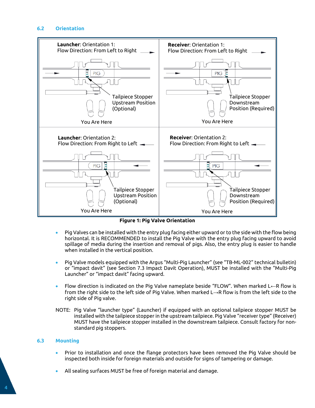#### <span id="page-4-0"></span>**6.2 Orientation**



**Figure 1: Pig Valve Orientation**

- Pig Valves can be installed with the entry plug facing either upward or to the side with the flow being horizontal. It is RECOMMENDED to install the Pig Valve with the entry plug facing upward to avoid spillage of media during the insertion and removal of pigs. Also, the entry plug is easier to handle when installed in the vertical position.
- Pig Valve models equipped with the Argus "Multi-Pig Launcher" (see "TB-ML-002" technical bulletin) or "impact davit" (see Section 7.3 Impact Davit Operation), MUST be installed with the "Multi-Pig Launcher" or "impact davit" facing upward.
- Flow direction is indicated on the Pig Valve nameplate beside "FLOW". When marked L←R flow is from the right side to the left side of Pig Valve. When marked L→R flow is from the left side to the right side of Pig valve.
- NOTE: Pig Valve "launcher type" (Launcher) if equipped with an optional tailpiece stopper MUST be installed with the tailpiece stopper in the upstream tailpiece. Pig Valve "receiver type" (Receiver) MUST have the tailpiece stopper installed in the downstream tailpiece. Consult factory for nonstandard pig stoppers.

#### <span id="page-4-1"></span>**6.3 Mounting**

- Prior to installation and once the flange protectors have been removed the Pig Valve should be inspected both inside for foreign materials and outside for signs of tampering or damage.
- All sealing surfaces MUST be free of foreign material and damage.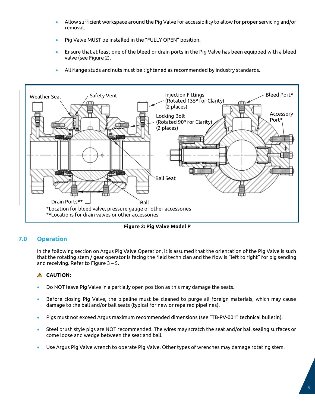- Allow sufficient workspace around the Pig Valve for accessibility to allow for proper servicing and/or removal.
- Pig Valve MUST be installed in the "FULLY OPEN" position.
- Ensure that at least one of the bleed or drain ports in the Pig Valve has been equipped with a bleed valve (see Figure 2).
- All flange studs and nuts must be tightened as recommended by industry standards.



**Figure 2: Pig Valve Model P**

#### <span id="page-5-0"></span>**7.0 Operation**

In the following section on Argus Pig Valve Operation, it is assumed that the orientation of the Pig Valve is such that the rotating stem / gear operator is facing the field technician and the flow is "left to right" for pig sending and receiving. Refer to Figure 3 – 5.

#### **A** CAUTION:

- Do NOT leave Pig Valve in a partially open position as this may damage the seats.
- Before closing Pig Valve, the pipeline must be cleaned to purge all foreign materials, which may cause damage to the ball and/or ball seats (typical for new or repaired pipelines).
- Pigs must not exceed Argus maximum recommended dimensions (see "TB-PV-001" technical bulletin).
- Steel brush style pigs are NOT recommended. The wires may scratch the seat and/or ball sealing surfaces or come loose and wedge between the seat and ball.
- Use Argus Pig Valve wrench to operate Pig Valve. Other types of wrenches may damage rotating stem.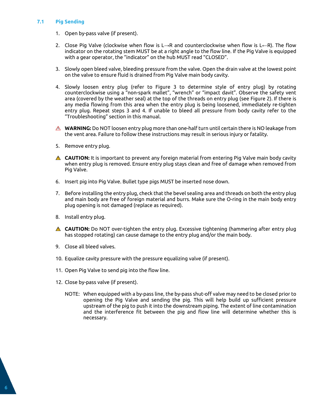#### <span id="page-6-0"></span>**7.1 Pig Sending**

- 1. Open by-pass valve (if present).
- 2. Close Pig Valve (clockwise when flow is L→R and counterclockwise when flow is L←R). The flow indicator on the rotating stem MUST be at a right angle to the flow line. If the Pig Valve is equipped with a gear operator, the "indicator" on the hub MUST read "CLOSED".
- 3. Slowly open bleed valve, bleeding pressure from the valve. Open the drain valve at the lowest point on the valve to ensure fluid is drained from Pig Valve main body cavity.
- 4. Slowly loosen entry plug (refer to Figure 3 to determine style of entry plug) by rotating counterclockwise using a "non-spark mallet", "wrench" or "impact davit". Observe the safety vent area (covered by the weather seal) at the top of the threads on entry plug (see Figure 2). If there is any media flowing from this area when the entry plug is being loosened, immediately re-tighten entry plug. Repeat steps 3 and 4. If unable to bleed all pressure from body cavity refer to the "Troubleshooting" section in this manual.
- **WARNING:** Do NOT loosen entry plug more than one-half turn until certain there is NO leakage from the vent area. Failure to follow these instructions may result in serious injury or fatality.
- 5. Remove entry plug.
- **CAUTION:** It is important to prevent any foreign material from entering Pig Valve main body cavity when entry plug is removed. Ensure entry plug stays clean and free of damage when removed from Pig Valve.
- 6. Insert pig into Pig Valve. Bullet type pigs MUST be inserted nose down.
- 7. Before installing the entry plug, check that the bevel sealing area and threads on both the entry plug and main body are free of foreign material and burrs. Make sure the O-ring in the main body entry plug opening is not damaged (replace as required).
- 8. Install entry plug.
- **CAUTION:** Do NOT over-tighten the entry plug. Excessive tightening (hammering after entry plug has stopped rotating) can cause damage to the entry plug and/or the main body.
- 9. Close all bleed valves.
- 10. Equalize cavity pressure with the pressure equalizing valve (if present).
- 11. Open Pig Valve to send pig into the flow line.
- 12. Close by-pass valve (if present).
	- NOTE: When equipped with a by-pass line, the by-pass shut-off valve may need to be closed prior to opening the Pig Valve and sending the pig. This will help build up sufficient pressure upstream of the pig to push it into the downstream piping. The extent of line contamination and the interference fit between the pig and flow line will determine whether this is necessary.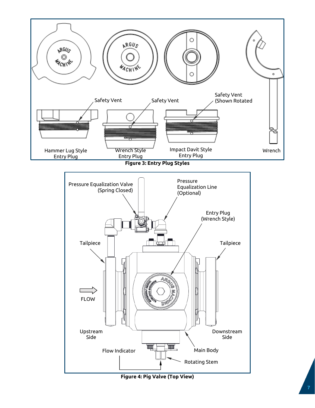

**Figure 4: Pig Valve (Top View)**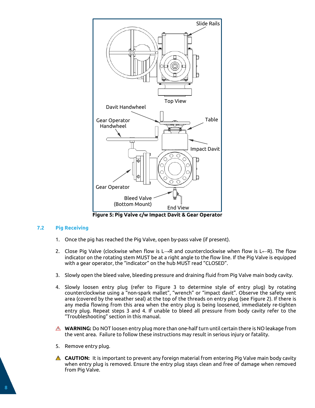

**Figure 5: Pig Valve c/w Impact Davit & Gear Operator**

#### <span id="page-8-0"></span>**7.2 Pig Receiving**

- 1. Once the pig has reached the Pig Valve, open by-pass valve (if present).
- 2. Close Pig Valve (clockwise when flow is L→R and counterclockwise when flow is L←R). The flow indicator on the rotating stem MUST be at a right angle to the flow line. If the Pig Valve is equipped with a gear operator, the "indicator" on the hub MUST read "CLOSED".
- 3. Slowly open the bleed valve, bleeding pressure and draining fluid from Pig Valve main body cavity.
- 4. Slowly loosen entry plug (refer to Figure 3 to determine style of entry plug) by rotating counterclockwise using a "non-spark mallet", "wrench" or "impact davit". Observe the safety vent area (covered by the weather seal) at the top of the threads on entry plug (see Figure 2). If there is any media flowing from this area when the entry plug is being loosened, immediately re-tighten entry plug. Repeat steps 3 and 4. If unable to bleed all pressure from body cavity refer to the "Troubleshooting" section in this manual.
- **A** WARNING: Do NOT loosen entry plug more than one-half turn until certain there is NO leakage from the vent area. Failure to follow these instructions may result in serious injury or fatality.
- 5. Remove entry plug.
- **CAUTION:** It is important to prevent any foreign material from entering Pig Valve main body cavity when entry plug is removed. Ensure the entry plug stays clean and free of damage when removed from Pig Valve.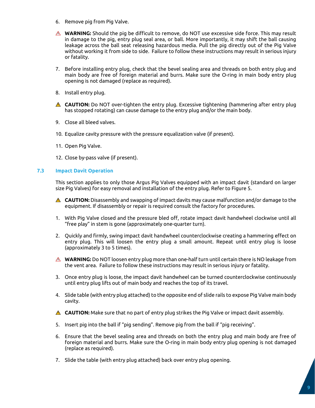- 6. Remove pig from Pig Valve.
- **WARNING:** Should the pig be difficult to remove, do NOT use excessive side force. This may result in damage to the pig, entry plug seal area, or ball. More importantly, it may shift the ball causing leakage across the ball seat releasing hazardous media. Pull the pig directly out of the Pig Valve without working it from side to side. Failure to follow these instructions may result in serious injury or fatality.
- 7. Before installing entry plug, check that the bevel sealing area and threads on both entry plug and main body are free of foreign material and burrs. Make sure the O-ring in main body entry plug opening is not damaged (replace as required).
- 8. Install entry plug.
- **CAUTION:** Do NOT over-tighten the entry plug. Excessive tightening (hammering after entry plug has stopped rotating) can cause damage to the entry plug and/or the main body.
- 9. Close all bleed valves.
- 10. Equalize cavity pressure with the pressure equalization valve (if present).
- 11. Open Pig Valve.
- 12. Close by-pass valve (if present).

#### <span id="page-9-0"></span>**7.3 Impact Davit Operation**

This section applies to only those Argus Pig Valves equipped with an impact davit (standard on larger size Pig Valves) for easy removal and installation of the entry plug. Refer to Figure 5.

- **CAUTION:** Disassembly and swapping of impact davits may cause malfunction and/or damage to the equipment. If disassembly or repair is required consult the factory for procedures.
- 1. With Pig Valve closed and the pressure bled off, rotate impact davit handwheel clockwise until all "free play" in stem is gone (approximately one-quarter turn).
- 2. Quickly and firmly, swing impact davit handwheel counterclockwise creating a hammering effect on entry plug. This will loosen the entry plug a small amount. Repeat until entry plug is loose (approximately 3 to 5 times).
- **WARNING:** Do NOT loosen entry plug more than one-half turn until certain there is NO leakage from the vent area. Failure to follow these instructions may result in serious injury or fatality.
- 3. Once entry plug is loose, the impact davit handwheel can be turned counterclockwise continuously until entry plug lifts out of main body and reaches the top of its travel.
- 4. Slide table (with entry plug attached) to the opposite end of slide rails to expose Pig Valve main body cavity.
- **A** CAUTION: Make sure that no part of entry plug strikes the Pig Valve or impact davit assembly.
- 5. Insert pig into the ball if "pig sending". Remove pig from the ball if "pig receiving".
- 6. Ensure that the bevel sealing area and threads on both the entry plug and main body are free of foreign material and burrs. Make sure the O-ring in main body entry plug opening is not damaged (replace as required).
- 7. Slide the table (with entry plug attached) back over entry plug opening.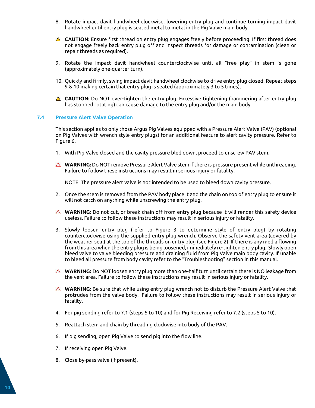- 8. Rotate impact davit handwheel clockwise, lowering entry plug and continue turning impact davit handwheel until entry plug is seated metal to metal in the Pig Valve main body.
- **CAUTION:** Ensure first thread on entry plug engages freely before proceeding. If first thread does not engage freely back entry plug off and inspect threads for damage or contamination (clean or repair threads as required).
- 9. Rotate the impact davit handwheel counterclockwise until all "free play" in stem is gone (approximately one-quarter turn).
- 10. Quickly and firmly, swing impact davit handwheel clockwise to drive entry plug closed. Repeat steps 9 & 10 making certain that entry plug is seated (approximately 3 to 5 times).
- **CAUTION:** Do NOT over-tighten the entry plug. Excessive tightening (hammering after entry plug has stopped rotating) can cause damage to the entry plug and/or the main body.

#### <span id="page-10-0"></span>**7.4 Pressure Alert Valve Operation**

This section applies to only those Argus Pig Valves equipped with a Pressure Alert Valve (PAV) (optional on Pig Valves with wrench style entry plugs) for an additional feature to alert cavity pressure. Refer to Figure 6.

- 1. With Pig Valve closed and the cavity pressure bled down, proceed to unscrew PAV stem.
- **WARNING:** Do NOT remove Pressure Alert Valve stem if there is pressure present while unthreading. Failure to follow these instructions may result in serious injury or fatality.

NOTE: The pressure alert valve is not intended to be used to bleed down cavity pressure.

- 2. Once the stem is removed from the PAV body place it and the chain on top of entry plug to ensure it will not catch on anything while unscrewing the entry plug.
- **WARNING:** Do not cut, or break chain off from entry plug because it will render this safety device useless. Failure to follow these instructions may result in serious injury or fatality.
- 3. Slowly loosen entry plug (refer to Figure 3 to determine style of entry plug) by rotating counterclockwise using the supplied entry plug wrench. Observe the safety vent area (covered by the weather seal) at the top of the threads on entry plug (see Figure 2). If there is any media flowing from this area when the entry plug is being loosened, immediately re-tighten entry plug. Slowly open bleed valve to valve bleeding pressure and draining fluid from Pig Valve main body cavity. If unable to bleed all pressure from body cavity refer to the "Troubleshooting" section in this manual.
- **WARNING:** Do NOT loosen entry plug more than one-half turn until certain there is NO leakage from the vent area. Failure to follow these instructions may result in serious injury or fatality.
- **WARNING:** Be sure that while using entry plug wrench not to disturb the Pressure Alert Valve that protrudes from the valve body. Failure to follow these instructions may result in serious injury or fatality.
- 4. For pig sending refer to 7.1 (steps 5 to 10) and for Pig Receiving refer to 7.2 (steps 5 to 10).
- 5. Reattach stem and chain by threading clockwise into body of the PAV.
- 6. If pig sending, open Pig Valve to send pig into the flow line.
- 7. If receiving open Pig Valve.
- 8. Close by-pass valve (if present).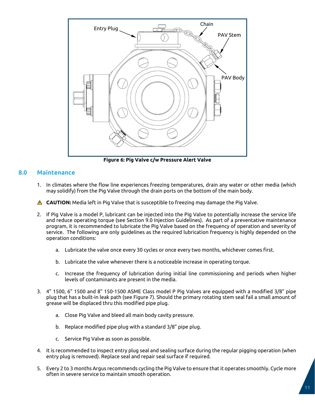

**Figure 6: Pig Valve c/w Pressure Alert Valve**

#### <span id="page-11-0"></span>**8.0 Maintenance**

1. In climates where the flow line experiences freezing temperatures, drain any water or other media (which may solidify) from the Pig Valve through the drain ports on the bottom of the main body.

**A** CAUTION: Media left in Pig Valve that is susceptible to freezing may damage the Pig Valve.

- 2. If Pig Valve is a model P, lubricant can be injected into the Pig Valve to potentially increase the service life and reduce operating torque (see Section 9.0 Injection Guidelines). As part of a preventative maintenance program, it is recommended to lubricate the Pig Valve based on the frequency of operation and severity of service. The following are only guidelines as the required lubrication frequency is highly depended on the operation conditions:
	- a. Lubricate the valve once every 30 cycles or once every two months, whichever comes first.
	- b. Lubricate the valve whenever there is a noticeable increase in operating torque.
	- c. Increase the frequency of lubrication during initial line commissioning and periods when higher levels of contaminants are present in the media.
- 3. 4" 1500, 6" 1500 and 8" 150-1500 ASME Class model P Pig Valves are equipped with a modified 3/8" pipe plug that has a built-in leak path (see Figure 7). Should the primary rotating stem seal fail a small amount of grease will be displaced thru this modified pipe plug.
	- a. Close Pig Valve and bleed all main body cavity pressure.
	- b. Replace modified pipe plug with a standard 3/8" pipe plug.
	- c. Service Pig Valve as soon as possible.
- 4. It is recommended to inspect entry plug seal and sealing surface during the regular pigging operation (when entry plug is removed). Replace seal and repair seal surface if required.
- 5. Every 2 to 3 months Argus recommends cycling the Pig Valve to ensure that it operates smoothly. Cycle more often in severe service to maintain smooth operation.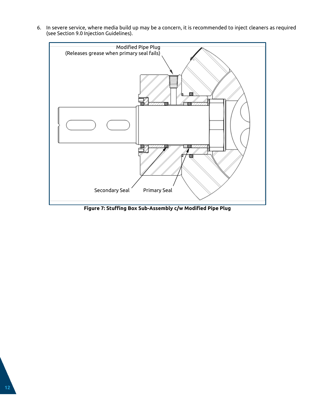6. In severe service, where media build up may be a concern, it is recommended to inject cleaners as required (see Section 9.0 Injection Guidelines).



**Figure 7: Stuffing Box Sub-Assembly c/w Modified Pipe Plug**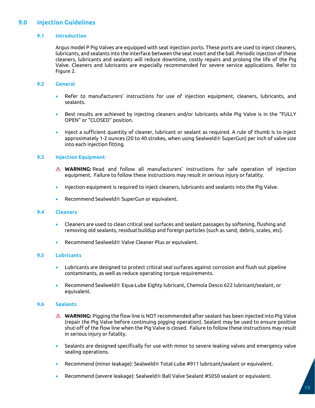#### <span id="page-13-1"></span><span id="page-13-0"></span>**9.0 Injection Guidelines**

#### **9.1 Introduction**

Argus model P Pig Valves are equipped with seat injection ports. These ports are used to inject cleaners, lubricants, and sealants into the interface between the seat insert and the ball. Periodic injection of these cleaners, lubricants and sealants will reduce downtime, costly repairs and prolong the life of the Pig Valve. Cleaners and lubricants are especially recommended for severe service applications. Refer to Figure 2.

#### <span id="page-13-2"></span>**9.2 General**

- Refer to manufacturers' instructions for use of injection equipment, cleaners, lubricants, and sealants.
- Best results are achieved by injecting cleaners and/or lubricants while Pig Valve is in the "FULLY OPEN" or "CLOSED" position.
- Inject a sufficient quantity of cleaner, lubricant or sealant as required. A rule of thumb is to inject approximately 1-2 ounces (20 to 40 strokes, when using Sealweld® SuperGun) per inch of valve size into each injection fitting.

#### <span id="page-13-3"></span>**9.3 Injection Equipment**

- **WARNING:** Read and follow all manufacturers' instructions for safe operation of injection equipment. Failure to follow these instructions may result in serious injury or fatality.
- Injection equipment is required to inject cleaners, lubricants and sealants into the Pig Valve.
- Recommend Sealweld $\circledR$  SuperGun or equivalent.

#### <span id="page-13-4"></span>**9.4 Cleaners**

- Cleaners are used to clean critical seal surfaces and sealant passages by softening, flushing and removing old sealants, residual buildup and foreign particles (such as sand, debris, scales, etc).
- Recommend Sealweld $@$  Valve Cleaner Plus or equivalent.

#### <span id="page-13-5"></span>**9.5 Lubricants**

- Lubricants are designed to protect critical seal surfaces against corrosion and flush out pipeline contaminants, as well as reduce operating torque requirements.
- Recommend Sealweld $\circledast$  Equa-Lube Eighty lubricant, Chemola Desco 622 lubricant/sealant, or equivalent.

#### <span id="page-13-6"></span>**9.6 Sealants**

- $\triangle$  **WARNING:** Pigging the flow line is NOT recommended after sealant has been injected into Pig Valve (repair the Pig Valve before continuing pigging operation). Sealant may be used to ensure positive shut-off of the flow line when the Pig Valve is closed. Failure to follow these instructions may result in serious injury or fatality.
- Sealants are designed specifically for use with minor to severe leaking valves and emergency valve sealing operations.
- Recommend (minor leakage): Sealweld<sup>®</sup> Total-Lube #911 lubricant/sealant or equivalent.
- Recommend (severe leakage): Sealweld $\circledast$  Ball Valve Sealant #5050 sealant or equivalent.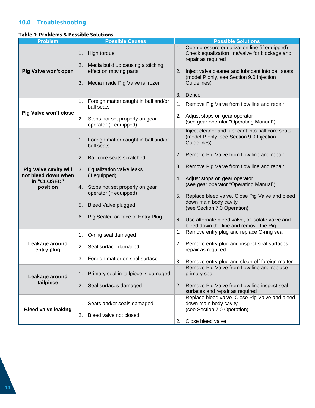### <span id="page-14-0"></span>**10.0 Troubleshooting**

#### **Table 1: Problems & Possible Solutions**

| <b>Problem</b>                                      | <b>Possible Causes</b>                                            | <b>Possible Solutions</b>                                                                                                      |
|-----------------------------------------------------|-------------------------------------------------------------------|--------------------------------------------------------------------------------------------------------------------------------|
|                                                     | High torque<br>1.                                                 | Open pressure equalization line (if equipped)<br>1.<br>Check equalization line/valve for blockage and<br>repair as required    |
| Pig Valve won't open                                | 2.<br>Media build up causing a sticking<br>effect on moving parts | Inject valve cleaner and lubricant into ball seats<br>2.                                                                       |
|                                                     | 3.<br>Media inside Pig Valve is frozen                            | (model P only, see Section 9.0 Injection<br>Guidelines)                                                                        |
|                                                     |                                                                   | 3.<br>De-ice                                                                                                                   |
|                                                     | Foreign matter caught in ball and/or<br>1.<br>ball seats          | Remove Pig Valve from flow line and repair<br>1.                                                                               |
| <b>Pig Valve won't close</b>                        | 2.<br>Stops not set properly on gear<br>operator (if equipped)    | Adjust stops on gear operator<br>2.<br>(see gear operator "Operating Manual")                                                  |
|                                                     | Foreign matter caught in ball and/or<br>1.<br>ball seats          | Inject cleaner and lubricant into ball core seats<br>1 <sub>1</sub><br>(model P only, see Section 9.0 Injection<br>Guidelines) |
|                                                     | 2.<br>Ball core seats scratched                                   | Remove Pig Valve from flow line and repair<br>2.                                                                               |
| <b>Pig Valve cavity will</b><br>not bleed down when | Equalization valve leaks<br>3.<br>(if equipped)                   | Remove Pig Valve from flow line and repair<br>3.                                                                               |
| in "CLOSED"<br>position                             | Stops not set properly on gear<br>4.                              | 4. Adjust stops on gear operator<br>(see gear operator "Operating Manual")                                                     |
|                                                     | operator (if equipped)                                            | 5.                                                                                                                             |
|                                                     | <b>Bleed Valve plugged</b><br>5.                                  | Replace bleed valve. Close Pig Valve and bleed<br>down main body cavity<br>(see Section 7.0 Operation)                         |
|                                                     | Pig Sealed on face of Entry Plug<br>6.                            | Use alternate bleed valve, or isolate valve and<br>6.<br>bleed down the line and remove the Pig                                |
|                                                     | O-ring seal damaged<br>1.                                         | Remove entry plug and replace O-ring seal<br>1.                                                                                |
| Leakage around<br>entry plug                        | Seal surface damaged<br>2.                                        | 2. Remove entry plug and inspect seal surfaces<br>repair as required                                                           |
|                                                     | Foreign matter on seal surface<br>3.                              | Remove entry plug and clean off foreign matter<br>3.                                                                           |
| Leakage around                                      | Primary seal in tailpiece is damaged<br>1.                        | 1.<br>Remove Pig Valve from flow line and replace<br>primary seal                                                              |
| tailpiece                                           | 2.<br>Seal surfaces damaged                                       | 2.<br>Remove Pig Valve from flow line inspect seal<br>surfaces and repair as required                                          |
| <b>Bleed valve leaking</b>                          | Seats and/or seals damaged<br>1.                                  | Replace bleed valve. Close Pig Valve and bleed<br>1.<br>down main body cavity<br>(see Section 7.0 Operation)                   |
|                                                     | 2.<br>Bleed valve not closed                                      | Close bleed valve<br>2.                                                                                                        |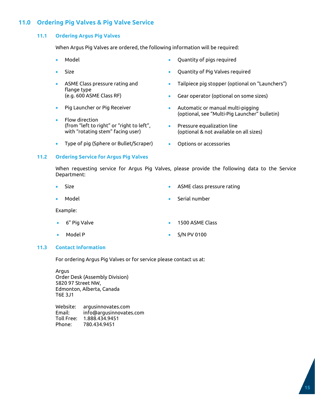#### <span id="page-15-1"></span><span id="page-15-0"></span>**11.0 Ordering Pig Valves & Pig Valve Service**

#### **11.1 Ordering Argus Pig Valves**

When Argus Pig Valves are ordered, the following information will be required:

- Model
- Size
- ASME Class pressure rating and flange type (e.g. 600 ASME Class RF)
- Pig Launcher or Pig Receiver
- Flow direction (from "left to right" or "right to left", with "rotating stem" facing user)
- Type of pig (Sphere or Bullet/Scraper)
- Quantity of pigs required
- Quantity of Pig Valves required
- Tailpiece pig stopper (optional on "Launchers")
- Gear operator (optional on some sizes)
- Automatic or manual multi-pigging (optional, see "Multi-Pig Launcher" bulletin)
- Pressure equalization line (optional & not available on all sizes)
- Options or accessories

#### <span id="page-15-2"></span>**11.2 Ordering Service for Argus Pig Valves**

When requesting service for Argus Pig Valves, please provide the following data to the Service Department:

- Size
- Model

• ASME class pressure rating

• Serial number

Example:

- 6" Pig Valve
- Model P
- 1500 ASME Class
- S/N PV 0100

#### <span id="page-15-3"></span>**11.3 Contact Information**

For ordering Argus Pig Valves or for service please contact us at:

Argus Order Desk (Assembly Division) 5820 97 Street NW, Edmonton, Alberta, Canada T6E 3J1

Website: argusinnovates.com Email: info@argusinnovates.com Toll Free: 1.888.434.9451 Phone: 780.434.9451